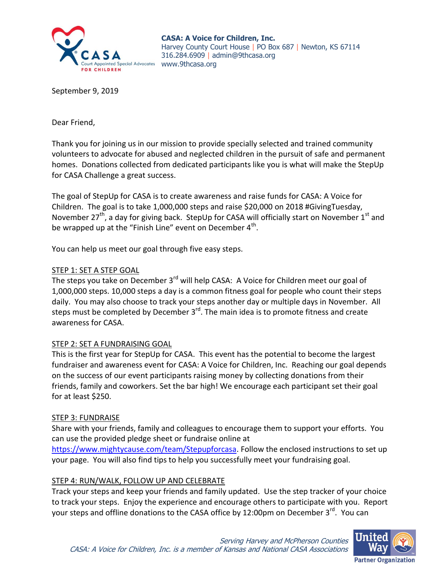

**CASA: A Voice for Children, Inc.** Harvey County Court House | PO Box 687 | Newton, KS 67114 316.284.6909 | admin@9thcasa.org

September 9, 2019

Dear Friend,

Thank you for joining us in our mission to provide specially selected and trained community volunteers to advocate for abused and neglected children in the pursuit of safe and permanent homes. Donations collected from dedicated participants like you is what will make the StepUp for CASA Challenge a great success.

The goal of StepUp for CASA is to create awareness and raise funds for CASA: A Voice for Children. The goal is to take 1,000,000 steps and raise \$20,000 on 2018 #GivingTuesday, November 27<sup>th</sup>, a day for giving back. StepUp for CASA will officially start on November 1<sup>st</sup> and be wrapped up at the "Finish Line" event on December 4<sup>th</sup>.

You can help us meet our goal through five easy steps.

### STEP 1: SET A STEP GOAL

The steps you take on December 3<sup>rd</sup> will help CASA: A Voice for Children meet our goal of 1,000,000 steps. 10,000 steps a day is a common fitness goal for people who count their steps daily. You may also choose to track your steps another day or multiple days in November. All steps must be completed by December 3<sup>rd</sup>. The main idea is to promote fitness and create awareness for CASA.

# STEP 2: SET A FUNDRAISING GOAL

This is the first year for StepUp for CASA. This event has the potential to become the largest fundraiser and awareness event for CASA: A Voice for Children, Inc. Reaching our goal depends on the success of our event participants raising money by collecting donations from their friends, family and coworkers. Set the bar high! We encourage each participant set their goal for at least \$250.

#### STEP 3: FUNDRAISE

Share with your friends, family and colleagues to encourage them to support your efforts. You can use the provided pledge sheet or fundraise online at

[https://www.mightycause.com/team/Stepupforcasa.](https://www.mightycause.com/team/Stepupforcasa) Follow the enclosed instructions to set up your page. You will also find tips to help you successfully meet your fundraising goal.

# STEP 4: RUN/WALK, FOLLOW UP AND CELEBRATE

Track your steps and keep your friends and family updated. Use the step tracker of your choice to track your steps. Enjoy the experience and encourage others to participate with you. Report your steps and offline donations to the CASA office by 12:00pm on December 3<sup>rd</sup>. You can